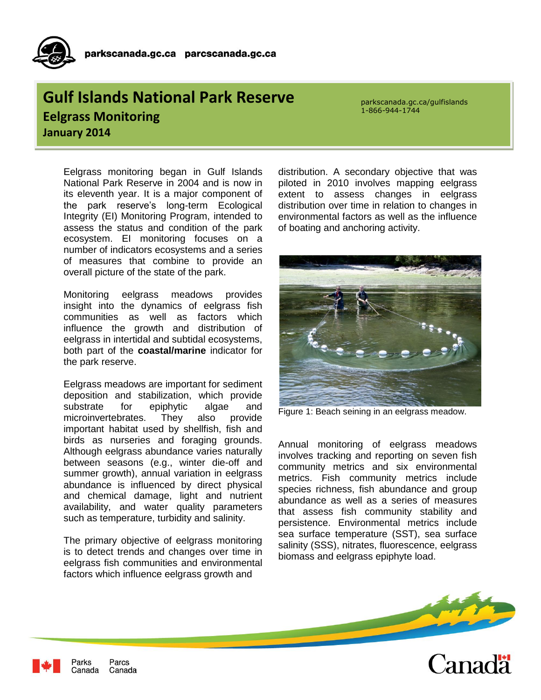## **Gulf Islands National Park Reserve Eelgrass Monitoring January 2014**

**For More** 

parkscanada.gc.ca/gulfislands 1-866-944-1744

Eelgrass monitoring began in Gulf Islands National Park Reserve in 2004 and is now in its eleventh year. It is a major component of the park reserve's long-term Ecological Integrity (EI) Monitoring Program, intended to assess the status and condition of the park ecosystem. EI monitoring focuses on a number of indicators ecosystems and a series of measures that combine to provide an overall picture of the state of the park.

Monitoring eelgrass meadows provides insight into the dynamics of eelgrass fish communities as well as factors which influence the growth and distribution of eelgrass in intertidal and subtidal ecosystems, both part of the **coastal/marine** indicator for the park reserve.

Eelgrass meadows are important for sediment deposition and stabilization, which provide substrate for epiphytic algae and microinvertebrates. They also provide important habitat used by shellfish, fish and birds as nurseries and foraging grounds. Although eelgrass abundance varies naturally between seasons (e.g., winter die-off and summer growth), annual variation in eelgrass abundance is influenced by direct physical and chemical damage, light and nutrient availability, and water quality parameters such as temperature, turbidity and salinity.

The primary objective of eelgrass monitoring is to detect trends and changes over time in eelgrass fish communities and environmental factors which influence eelgrass growth and

distribution. A secondary objective that was piloted in 2010 involves mapping eelgrass extent to assess changes in eelgrass distribution over time in relation to changes in environmental factors as well as the influence of boating and anchoring activity.



Figure 1: Beach seining in an eelgrass meadow.

Annual monitoring of eelgrass meadows involves tracking and reporting on seven fish community metrics and six environmental metrics. Fish community metrics include species richness, fish abundance and group abundance as well as a series of measures that assess fish community stability and persistence. Environmental metrics include sea surface temperature (SST), sea surface salinity (SSS), nitrates, fluorescence, eelgrass biomass and eelgrass epiphyte load.